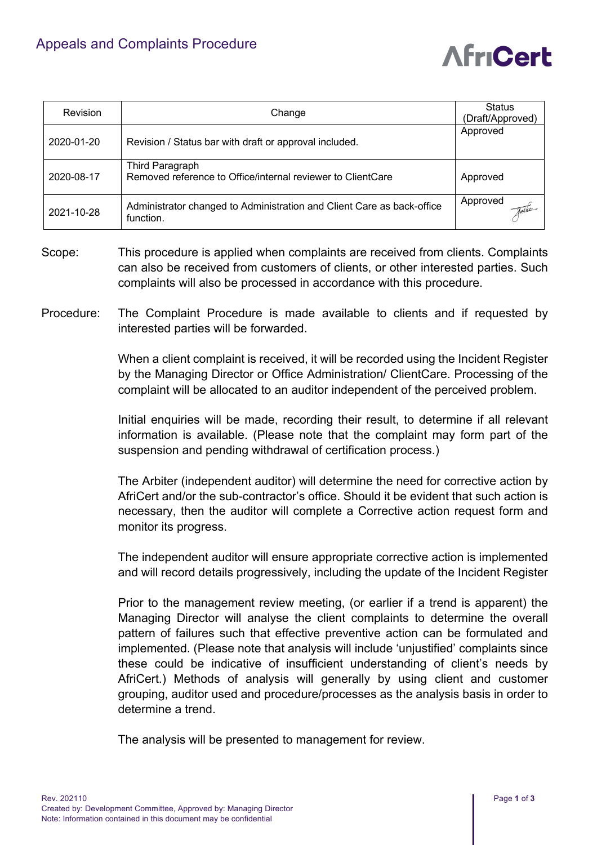## Appeals and Complaints Procedure

## **AfriCert**

| <b>Revision</b> | Change                                                                              | <b>Status</b><br>(Draft/Approved) |
|-----------------|-------------------------------------------------------------------------------------|-----------------------------------|
| 2020-01-20      | Revision / Status bar with draft or approval included.                              | Approved                          |
| 2020-08-17      | Third Paragraph<br>Removed reference to Office/internal reviewer to ClientCare      | Approved                          |
| 2021-10-28      | Administrator changed to Administration and Client Care as back-office<br>function. | Approved<br>Tathe                 |

- Scope: This procedure is applied when complaints are received from clients. Complaints can also be received from customers of clients, or other interested parties. Such complaints will also be processed in accordance with this procedure.
- Procedure: The Complaint Procedure is made available to clients and if requested by interested parties will be forwarded.

When a client complaint is received, it will be recorded using the Incident Register by the Managing Director or Office Administration/ ClientCare. Processing of the complaint will be allocated to an auditor independent of the perceived problem.

Initial enquiries will be made, recording their result, to determine if all relevant information is available. (Please note that the complaint may form part of the suspension and pending withdrawal of certification process.)

The Arbiter (independent auditor) will determine the need for corrective action by AfriCert and/or the sub-contractor's office. Should it be evident that such action is necessary, then the auditor will complete a Corrective action request form and monitor its progress.

The independent auditor will ensure appropriate corrective action is implemented and will record details progressively, including the update of the Incident Register

Prior to the management review meeting, (or earlier if a trend is apparent) the Managing Director will analyse the client complaints to determine the overall pattern of failures such that effective preventive action can be formulated and implemented. (Please note that analysis will include 'unjustified' complaints since these could be indicative of insufficient understanding of client's needs by AfriCert.) Methods of analysis will generally by using client and customer grouping, auditor used and procedure/processes as the analysis basis in order to determine a trend.

The analysis will be presented to management for review.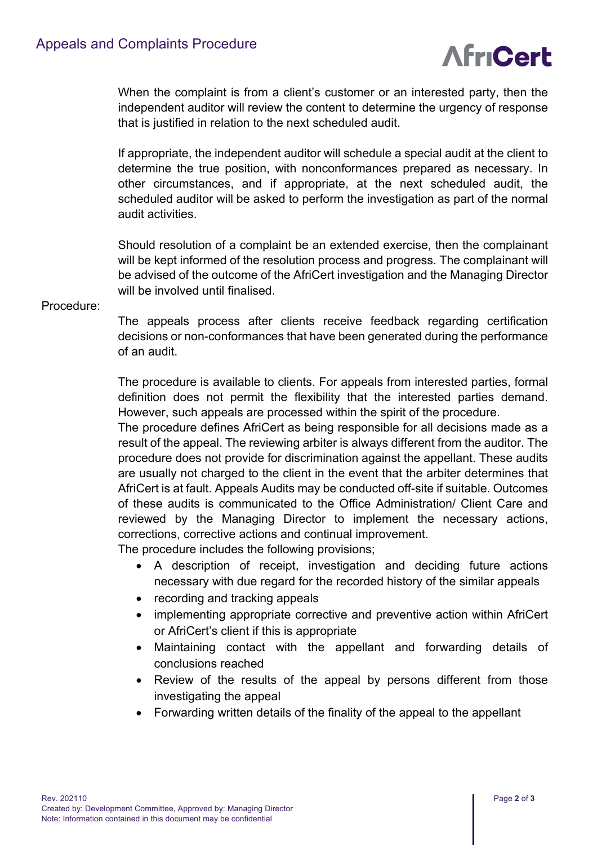

When the complaint is from a client's customer or an interested party, then the independent auditor will review the content to determine the urgency of response that is justified in relation to the next scheduled audit.

If appropriate, the independent auditor will schedule a special audit at the client to determine the true position, with nonconformances prepared as necessary. In other circumstances, and if appropriate, at the next scheduled audit, the scheduled auditor will be asked to perform the investigation as part of the normal audit activities.

Should resolution of a complaint be an extended exercise, then the complainant will be kept informed of the resolution process and progress. The complainant will be advised of the outcome of the AfriCert investigation and the Managing Director will be involved until finalised.

## Procedure:

The appeals process after clients receive feedback regarding certification decisions or non-conformances that have been generated during the performance of an audit.

The procedure is available to clients. For appeals from interested parties, formal definition does not permit the flexibility that the interested parties demand. However, such appeals are processed within the spirit of the procedure.

The procedure defines AfriCert as being responsible for all decisions made as a result of the appeal. The reviewing arbiter is always different from the auditor. The procedure does not provide for discrimination against the appellant. These audits are usually not charged to the client in the event that the arbiter determines that AfriCert is at fault. Appeals Audits may be conducted off-site if suitable. Outcomes of these audits is communicated to the Office Administration/ Client Care and reviewed by the Managing Director to implement the necessary actions, corrections, corrective actions and continual improvement.

The procedure includes the following provisions;

- A description of receipt, investigation and deciding future actions necessary with due regard for the recorded history of the similar appeals
- recording and tracking appeals
- implementing appropriate corrective and preventive action within AfriCert or AfriCert's client if this is appropriate
- Maintaining contact with the appellant and forwarding details of conclusions reached
- Review of the results of the appeal by persons different from those investigating the appeal
- Forwarding written details of the finality of the appeal to the appellant